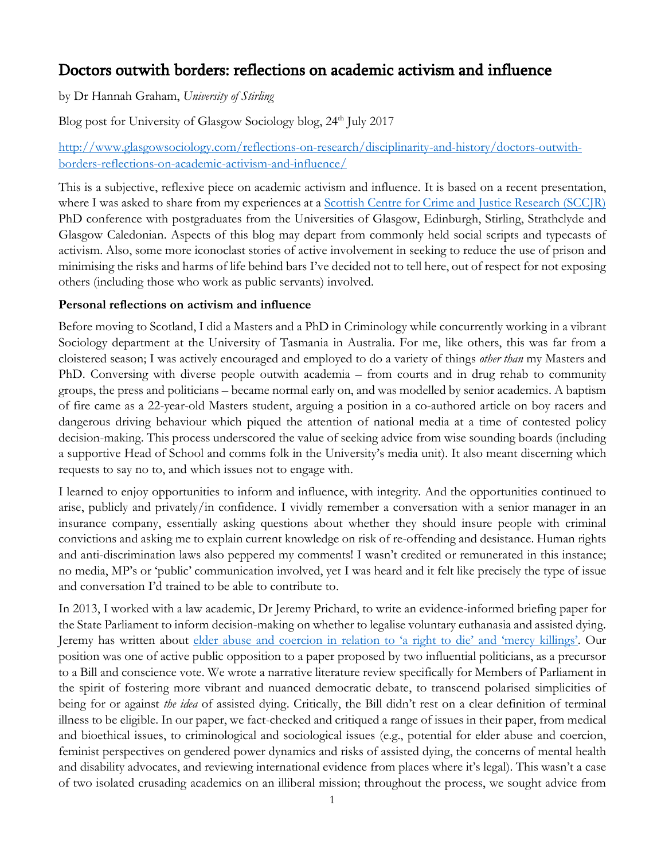# Doctors outwith borders: reflections on academic activism and influence

by Dr Hannah Graham, *University of Stirling*

Blog post for University of Glasgow Sociology blog, 24<sup>th</sup> July 2017

## [http://www.glasgowsociology.com/reflections-on-research/disciplinarity-and-history/doctors-outwith](http://www.glasgowsociology.com/reflections-on-research/disciplinarity-and-history/doctors-outwith-borders-reflections-on-academic-activism-and-influence/)[borders-reflections-on-academic-activism-and-influence/](http://www.glasgowsociology.com/reflections-on-research/disciplinarity-and-history/doctors-outwith-borders-reflections-on-academic-activism-and-influence/)

This is a subjective, reflexive piece on academic activism and influence. It is based on a recent presentation, where I was asked to share from my experiences at a [Scottish Centre for Crime and Justice Research \(SCCJR\)](http://www.sccjr.ac.uk/) PhD conference with postgraduates from the Universities of Glasgow, Edinburgh, Stirling, Strathclyde and Glasgow Caledonian. Aspects of this blog may depart from commonly held social scripts and typecasts of activism. Also, some more iconoclast stories of active involvement in seeking to reduce the use of prison and minimising the risks and harms of life behind bars I've decided not to tell here, out of respect for not exposing others (including those who work as public servants) involved.

## **Personal reflections on activism and influence**

Before moving to Scotland, I did a Masters and a PhD in Criminology while concurrently working in a vibrant Sociology department at the University of Tasmania in Australia. For me, like others, this was far from a cloistered season; I was actively encouraged and employed to do a variety of things *other than* my Masters and PhD. Conversing with diverse people outwith academia – from courts and in drug rehab to community groups, the press and politicians – became normal early on, and was modelled by senior academics. A baptism of fire came as a 22-year-old Masters student, arguing a position in a co-authored article on boy racers and dangerous driving behaviour which piqued the attention of national media at a time of contested policy decision-making. This process underscored the value of seeking advice from wise sounding boards (including a supportive Head of School and comms folk in the University's media unit). It also meant discerning which requests to say no to, and which issues not to engage with.

I learned to enjoy opportunities to inform and influence, with integrity*.* And the opportunities continued to arise, publicly and privately/in confidence. I vividly remember a conversation with a senior manager in an insurance company, essentially asking questions about whether they should insure people with criminal convictions and asking me to explain current knowledge on risk of re-offending and desistance. Human rights and anti-discrimination laws also peppered my comments! I wasn't credited or remunerated in this instance; no media, MP's or 'public' communication involved, yet I was heard and it felt like precisely the type of issue and conversation I'd trained to be able to contribute to.

In 2013, I worked with a law academic, Dr Jeremy Prichard, to write an evidence-informed briefing paper for the State Parliament to inform decision-making on whether to legalise voluntary euthanasia and assisted dying. Jeremy has written about [elder abuse and coercion in relation to](http://europepmc.org/abstract/med/22558909) 'a right to die' and 'mercy killings'. Our position was one of active public opposition to a paper proposed by two influential politicians, as a precursor to a Bill and conscience vote. We wrote a narrative literature review specifically for Members of Parliament in the spirit of fostering more vibrant and nuanced democratic debate, to transcend polarised simplicities of being for or against *the idea* of assisted dying. Critically, the Bill didn't rest on a clear definition of terminal illness to be eligible. In our paper, we fact-checked and critiqued a range of issues in their paper, from medical and bioethical issues, to criminological and sociological issues (e.g., potential for elder abuse and coercion, feminist perspectives on gendered power dynamics and risks of assisted dying, the concerns of mental health and disability advocates, and reviewing international evidence from places where it's legal). This wasn't a case of two isolated crusading academics on an illiberal mission; throughout the process, we sought advice from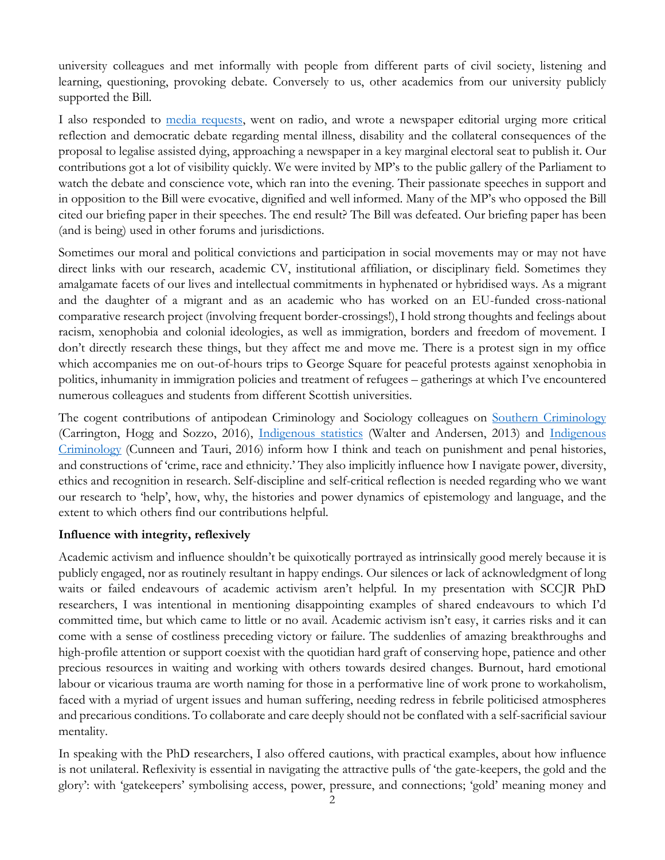university colleagues and met informally with people from different parts of civil society, listening and learning, questioning, provoking debate. Conversely to us, other academics from our university publicly supported the Bill.

I also responded to [media requests,](http://www.theadvocate.com.au/story/1829300/uni-duo-concerned-over-euthanasia-bill/) went on radio, and wrote a newspaper editorial urging more critical reflection and democratic debate regarding mental illness, disability and the collateral consequences of the proposal to legalise assisted dying, approaching a newspaper in a key marginal electoral seat to publish it. Our contributions got a lot of visibility quickly. We were invited by MP's to the public gallery of the Parliament to watch the debate and conscience vote, which ran into the evening. Their passionate speeches in support and in opposition to the Bill were evocative, dignified and well informed. Many of the MP's who opposed the Bill cited our briefing paper in their speeches. The end result? The Bill was defeated. Our briefing paper has been (and is being) used in other forums and jurisdictions.

Sometimes our moral and political convictions and participation in social movements may or may not have direct links with our research, academic CV, institutional affiliation, or disciplinary field. Sometimes they amalgamate facets of our lives and intellectual commitments in hyphenated or hybridised ways. As a migrant and the daughter of a migrant and as an academic who has worked on an EU-funded cross-national comparative research project (involving frequent border-crossings!), I hold strong thoughts and feelings about racism, xenophobia and colonial ideologies, as well as immigration, borders and freedom of movement. I don't directly research these things, but they affect me and move me. There is a protest sign in my office which accompanies me on out-of-hours trips to George Square for peaceful protests against xenophobia in politics, inhumanity in immigration policies and treatment of refugees – gatherings at which I've encountered numerous colleagues and students from different Scottish universities.

The cogent contributions of antipodean Criminology and Sociology colleagues on [Southern Criminology](https://academic.oup.com/bjc/article-abstract/56/1/1/2462428/Southern-Criminology?redirectedFrom=PDF) (Carrington, Hogg and Sozzo, 2016), [Indigenous statistics](https://www.routledge.com/Indigenous-Statistics-A-Quantitative-Research-Methodology/Walter-Andersen/p/book/9781611322934) (Walter and Andersen, 2013) and [Indigenous](https://policypress.co.uk/indigenous-criminology)  [Criminology](https://policypress.co.uk/indigenous-criminology) (Cunneen and Tauri, 2016) inform how I think and teach on punishment and penal histories, and constructions of 'crime, race and ethnicity.' They also implicitly influence how I navigate power, diversity, ethics and recognition in research. Self-discipline and self-critical reflection is needed regarding who we want our research to 'help', how, why, the histories and power dynamics of epistemology and language, and the extent to which others find our contributions helpful.

#### **Influence with integrity, reflexively**

Academic activism and influence shouldn't be quixotically portrayed as intrinsically good merely because it is publicly engaged, nor as routinely resultant in happy endings. Our silences or lack of acknowledgment of long waits or failed endeavours of academic activism aren't helpful. In my presentation with SCCJR PhD researchers, I was intentional in mentioning disappointing examples of shared endeavours to which I'd committed time, but which came to little or no avail. Academic activism isn't easy, it carries risks and it can come with a sense of costliness preceding victory or failure. The suddenlies of amazing breakthroughs and high-profile attention or support coexist with the quotidian hard graft of conserving hope, patience and other precious resources in waiting and working with others towards desired changes. Burnout, hard emotional labour or vicarious trauma are worth naming for those in a performative line of work prone to workaholism, faced with a myriad of urgent issues and human suffering, needing redress in febrile politicised atmospheres and precarious conditions. To collaborate and care deeply should not be conflated with a self-sacrificial saviour mentality.

In speaking with the PhD researchers, I also offered cautions, with practical examples, about how influence is not unilateral. Reflexivity is essential in navigating the attractive pulls of 'the gate-keepers, the gold and the glory': with 'gatekeepers' symbolising access, power, pressure, and connections; 'gold' meaning money and